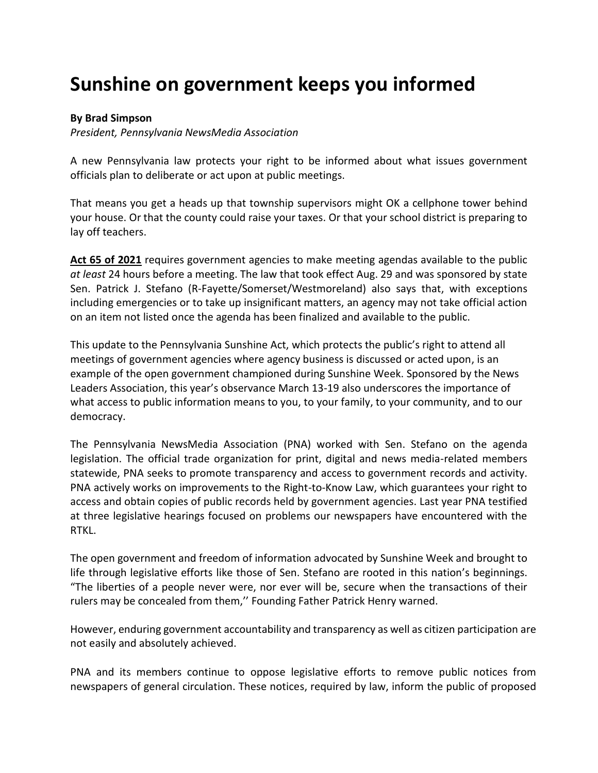## **Sunshine on government keeps you informed**

## **By Brad Simpson**

*President, Pennsylvania NewsMedia Association*

A new Pennsylvania law protects your right to be informed about what issues government officials plan to deliberate or act upon at public meetings.

That means you get a heads up that township supervisors might OK a cellphone tower behind your house. Or that the county could raise your taxes. Or that your school district is preparing to lay off teachers.

**[Act 65 of 2021](https://www.legis.state.pa.us/cfdocs/billinfo/billinfo.cfm?sYear=2021&sInd=0&body=S&type=B&bn=554)** requires government agencies to make meeting agendas available to the public *at least* 24 hours before a meeting. The law that took effect Aug. 29 and was sponsored by state Sen. Patrick J. Stefano (R-Fayette/Somerset/Westmoreland) also says that, with exceptions including emergencies or to take up insignificant matters, an agency may not take official action on an item not listed once the agenda has been finalized and available to the public.

This update to the Pennsylvania Sunshine Act, which protects the public's right to attend all meetings of government agencies where agency business is discussed or acted upon, is an example of the open government championed during Sunshine Week. Sponsored by the News Leaders Association, this year's observance March 13-19 also underscores the importance of what access to public information means to you, to your family, to your community, and to our democracy.

The Pennsylvania NewsMedia Association (PNA) worked with Sen. Stefano on the agenda legislation. The official trade organization for print, digital and news media-related members statewide, PNA seeks to promote transparency and access to government records and activity. PNA actively works on improvements to the Right-to-Know Law, which guarantees your right to access and obtain copies of public records held by government agencies. Last year PNA testified at three legislative hearings focused on problems our newspapers have encountered with the RTKL.

The open government and freedom of information advocated by Sunshine Week and brought to life through legislative efforts like those of Sen. Stefano are rooted in this nation's beginnings. "The liberties of a people never were, nor ever will be, secure when the transactions of their rulers may be concealed from them,'' Founding Father Patrick Henry warned.

However, enduring government accountability and transparency as well as citizen participation are not easily and absolutely achieved.

PNA and its members continue to oppose legislative efforts to remove public notices from newspapers of general circulation. These notices, required by law, inform the public of proposed